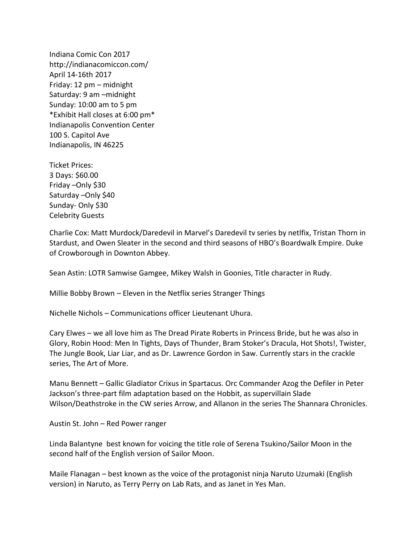Indiana Comic Con 2017 http://indianacomiccon.com/ April 14-16th 2017 Friday: 12 pm – midnight Saturday: 9 am –midnight Sunday: 10:00 am to 5 pm \*Exhibit Hall closes at 6:00 pm\* Indianapolis Convention Center 100 S. Capitol Ave Indianapolis, IN 46225

Ticket Prices: 3 Days: \$60.00 Friday –Only \$30 Saturday –Only \$40 Sunday- Only \$30 Celebrity Guests

Charlie Cox: Matt Murdock/Daredevil in Marvel's Daredevil tv series by netlfix, Tristan Thorn in Stardust, and Owen Sleater in the second and third seasons of HBO's Boardwalk Empire. Duke of Crowborough in Downton Abbey.

Sean Astin: LOTR Samwise Gamgee, Mikey Walsh in Goonies, Title character in Rudy.

Millie Bobby Brown – Eleven in the Netflix series Stranger Things

Nichelle Nichols – Communications officer Lieutenant Uhura.

Cary Elwes – we all love him as The Dread Pirate Roberts in Princess Bride, but he was also in Glory, Robin Hood: Men In Tights, Days of Thunder, Bram Stoker's Dracula, Hot Shots!, Twister, The Jungle Book, Liar Liar, and as Dr. Lawrence Gordon in Saw. Currently stars in the crackle series, The Art of More.

Manu Bennett – Gallic Gladiator Crixus in Spartacus. Orc Commander Azog the Defiler in Peter Jackson's three-part film adaptation based on the Hobbit, as supervillain Slade Wilson/Deathstroke in the CW series Arrow, and Allanon in the series The Shannara Chronicles.

Austin St. John – Red Power ranger

Linda Balantyne best known for voicing the title role of Serena Tsukino/Sailor Moon in the second half of the English version of Sailor Moon.

Maile Flanagan – best known as the voice of the protagonist ninja Naruto Uzumaki (English version) in Naruto, as Terry Perry on Lab Rats, and as Janet in Yes Man.